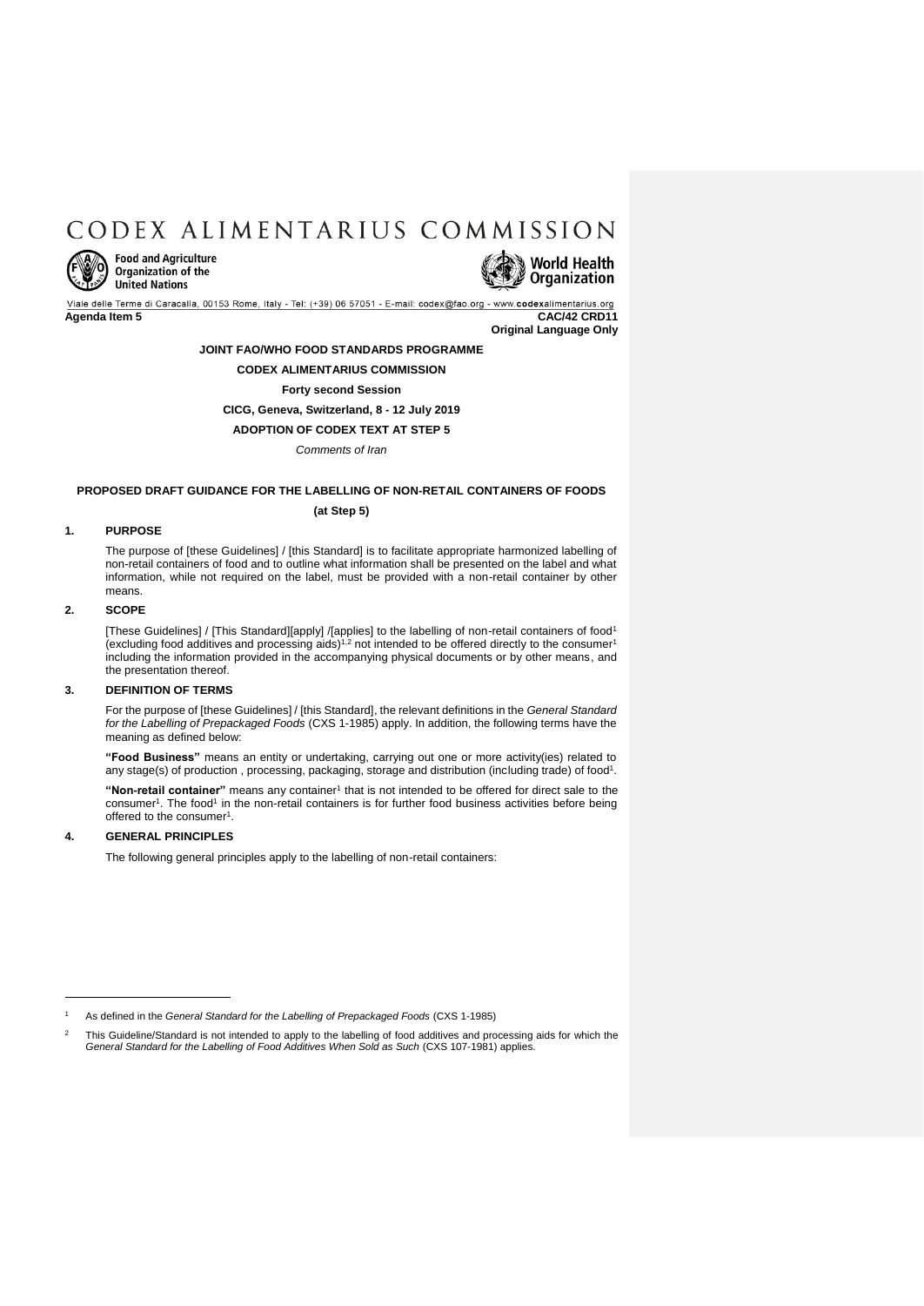# CODEX ALIMENTARIUS COMMISSION



**Food and Agriculture Organization of the United Nations** 

World Health **Organization** 

Viale delle Terme di Caracalla, 00153 Rome, Italy - Tel: (+39) 06 57051 - E-mail: codex@fao.org odexalimentarius.org **Agenda Item 5 CAC/42 CRD11**

**Original Language Only**

## **JOINT FAO/WHO FOOD STANDARDS PROGRAMME**

## **CODEX ALIMENTARIUS COMMISSION**

## **Forty second Session**

**CICG, Geneva, Switzerland, 8 - 12 July 2019**

**ADOPTION OF CODEX TEXT AT STEP 5**

*Comments of Iran*

## **PROPOSED DRAFT GUIDANCE FOR THE LABELLING OF NON-RETAIL CONTAINERS OF FOODS**

### <span id="page-0-0"></span>**(at Step 5)**

## **1. PURPOSE**

The purpose of [these Guidelines] / [this Standard] is to facilitate appropriate harmonized labelling of non-retail containers of food and to outline what information shall be presented on the label and what information, while not required on the label, must be provided with a non-retail container by other means.

## **2. SCOPE**

[These Guidelines] / [This Standard][apply] /[applies] to the labelling of non-retail containers of foo[d](#page-0-0)<sup>1</sup> (excluding food additives and p[r](#page-0-0)ocessing aids)<sup>1,2</sup> not intended to be offered directly to the consumer<sup>1</sup> including the information provided in the accompanying physical documents or by other means, and the presentation thereof.

## **3. DEFINITION OF TERMS**

For the purpose of [these Guidelines] / [this Standard], the relevant definitions in the *General Standard for the Labelling of Prepackaged Foods* (CXS 1-1985) apply. In addition, the following terms have the meaning as defined below:

**"Food Business"** means an entity or undertaking, carrying out one or more activity(ies) related to any stage(s) of pro[d](#page-0-0)uction, processing, packaging, storage and distribution (including trade) of food<sup>1</sup>.

"Non-retail container" means any container<sup>[1](#page-0-0)</sup> that is not intended to be offered for direct sale to the consumer<sup>1</sup>[.](#page-0-0) The food<sup>[1](#page-0-0)</sup> in the non-retail containers is for further food business activities before being offered to the consumer<sup>1</sup>[.](#page-0-0)

## **4. GENERAL PRINCIPLES**

 $\overline{a}$ 

The following general principles apply to the labelling of non-retail containers:

<sup>1</sup> As defined in the *General Standard for the Labelling of Prepackaged Foods* (CXS 1-1985)

This Guideline/Standard is not intended to apply to the labelling of food additives and processing aids for which the *General Standard for the Labelling of Food Additives When Sold as Such* (CXS 107-1981) applies.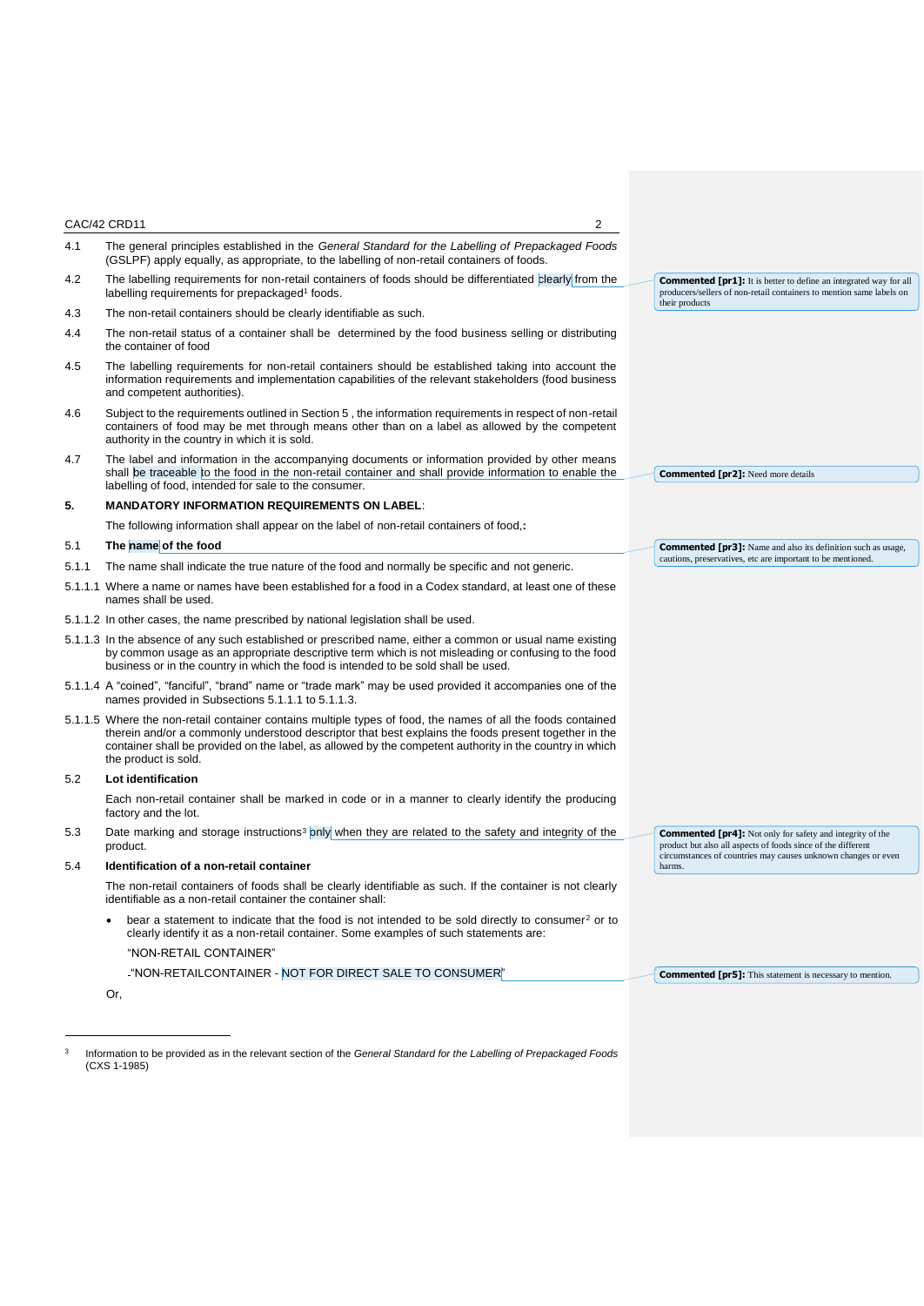|       | CAC/42 CRD11<br>2                                                                                                                                                                                                                                                                                                                                       |                                                                                                                                                                                                   |
|-------|---------------------------------------------------------------------------------------------------------------------------------------------------------------------------------------------------------------------------------------------------------------------------------------------------------------------------------------------------------|---------------------------------------------------------------------------------------------------------------------------------------------------------------------------------------------------|
| 4.1   | The general principles established in the General Standard for the Labelling of Prepackaged Foods<br>(GSLPF) apply equally, as appropriate, to the labelling of non-retail containers of foods.                                                                                                                                                         |                                                                                                                                                                                                   |
| 4.2   | The labelling requirements for non-retail containers of foods should be differentiated clearly from the<br>labelling requirements for prepackaged <sup>1</sup> foods.                                                                                                                                                                                   | <b>Commented [pr1]:</b> It is better to define an integrated way for all<br>producers/sellers of non-retail containers to mention same labels on                                                  |
| 4.3   | The non-retail containers should be clearly identifiable as such.                                                                                                                                                                                                                                                                                       | their products                                                                                                                                                                                    |
| 4.4   | The non-retail status of a container shall be determined by the food business selling or distributing<br>the container of food                                                                                                                                                                                                                          |                                                                                                                                                                                                   |
| 4.5   | The labelling requirements for non-retail containers should be established taking into account the<br>information requirements and implementation capabilities of the relevant stakeholders (food business<br>and competent authorities).                                                                                                               |                                                                                                                                                                                                   |
| 4.6   | Subject to the requirements outlined in Section 5, the information requirements in respect of non-retail<br>containers of food may be met through means other than on a label as allowed by the competent<br>authority in the country in which it is sold.                                                                                              |                                                                                                                                                                                                   |
| 4.7   | The label and information in the accompanying documents or information provided by other means<br>shall be traceable to the food in the non-retail container and shall provide information to enable the<br>labelling of food, intended for sale to the consumer.                                                                                       | <b>Commented [pr2]:</b> Need more details                                                                                                                                                         |
| 5.    | <b>MANDATORY INFORMATION REQUIREMENTS ON LABEL:</b>                                                                                                                                                                                                                                                                                                     |                                                                                                                                                                                                   |
|       | The following information shall appear on the label of non-retail containers of food,:                                                                                                                                                                                                                                                                  |                                                                                                                                                                                                   |
| 5.1   | The name of the food                                                                                                                                                                                                                                                                                                                                    | <b>Commented [pr3]:</b> Name and also its definition such as usage,                                                                                                                               |
| 5.1.1 | The name shall indicate the true nature of the food and normally be specific and not generic.                                                                                                                                                                                                                                                           | cautions, preservatives, etc are important to be mentioned.                                                                                                                                       |
|       | 5.1.1.1 Where a name or names have been established for a food in a Codex standard, at least one of these<br>names shall be used.                                                                                                                                                                                                                       |                                                                                                                                                                                                   |
|       | 5.1.1.2 In other cases, the name prescribed by national legislation shall be used.                                                                                                                                                                                                                                                                      |                                                                                                                                                                                                   |
|       | 5.1.1.3 In the absence of any such established or prescribed name, either a common or usual name existing<br>by common usage as an appropriate descriptive term which is not misleading or confusing to the food<br>business or in the country in which the food is intended to be sold shall be used.                                                  |                                                                                                                                                                                                   |
|       | 5.1.1.4 A "coined", "fanciful", "brand" name or "trade mark" may be used provided it accompanies one of the<br>names provided in Subsections 5.1.1.1 to 5.1.1.3.                                                                                                                                                                                        |                                                                                                                                                                                                   |
|       | 5.1.1.5 Where the non-retail container contains multiple types of food, the names of all the foods contained<br>therein and/or a commonly understood descriptor that best explains the foods present together in the<br>container shall be provided on the label, as allowed by the competent authority in the country in which<br>the product is sold. |                                                                                                                                                                                                   |
| 5.2   | Lot identification                                                                                                                                                                                                                                                                                                                                      |                                                                                                                                                                                                   |
|       | Each non-retail container shall be marked in code or in a manner to clearly identify the producing<br>factory and the lot.                                                                                                                                                                                                                              |                                                                                                                                                                                                   |
| 5.3   | Date marking and storage instructions <sup>3</sup> only when they are related to the safety and integrity of the<br>product.                                                                                                                                                                                                                            | <b>Commented [pr4]:</b> Not only for safety and integrity of the<br>product but also all aspects of foods since of the different<br>circumstances of countries may causes unknown changes or even |
| 5.4   | Identification of a non-retail container                                                                                                                                                                                                                                                                                                                | harms.                                                                                                                                                                                            |
|       | The non-retail containers of foods shall be clearly identifiable as such. If the container is not clearly<br>identifiable as a non-retail container the container shall:                                                                                                                                                                                |                                                                                                                                                                                                   |
|       | bear a statement to indicate that the food is not intended to be sold directly to consumer <sup>2</sup> or to<br>clearly identify it as a non-retail container. Some examples of such statements are:                                                                                                                                                   |                                                                                                                                                                                                   |
|       | "NON-RETAIL CONTAINER"                                                                                                                                                                                                                                                                                                                                  |                                                                                                                                                                                                   |
|       | -"NON-RETAILCONTAINER - NOT FOR DIRECT SALE TO CONSUMER"                                                                                                                                                                                                                                                                                                | <b>Commented [pr5]:</b> This statement is necessary to mention.                                                                                                                                   |
|       | Or,                                                                                                                                                                                                                                                                                                                                                     |                                                                                                                                                                                                   |
|       |                                                                                                                                                                                                                                                                                                                                                         |                                                                                                                                                                                                   |

3 Information to be provided as in the relevant section of the *General Standard for the Labelling of Prepackaged Foods* (CXS 1-1985)